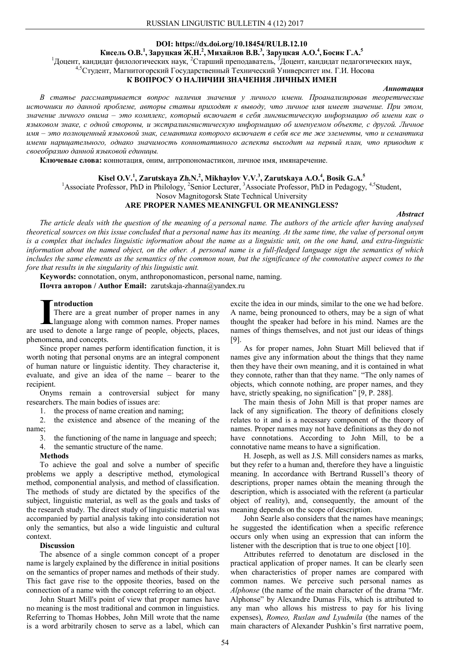## **DOI: https://dx.doi.org/10.18454/RULB.12.10**

# **Кисель О.В.<sup>1</sup> , Заруцкая Ж.Н.<sup>2</sup> ,Михайлов В.В.<sup>3</sup> , Заруцкая А.О.<sup>4</sup> ,Босик Г.А.<sup>5</sup>**

<sup>1</sup>Доцент, кандидат филологических наук, <sup>2</sup>Старший преподаватель, <sup>3</sup>Доцент, кандидат педагогических наук,

<sup>4,5</sup>Студент, Магнитогорский Государственный Технический Университет им. Г.И. Носова

# **К ВОПРОСУ О НАЛИЧИИ ЗНАЧЕНИЯ ЛИЧНЫХ ИМЕН**

#### *Аннотация*

*В статье рассматривается вопрос наличия значения у личного имени. Проанализировав теоретические источники по данной проблеме, авторы статьи приходят к выводу, что личное имя имеет значение. При этом, значение личного онима – это комплекс, который включает в себя лингвистическую информацию об имени как о языковом знаке, с одной стороны, и экстралингвистическую информацию об именуемом объекте, с другой. Личное имя – это полноценный языковой знак, семантика которого включает в себя все те же элементы, что и семантика имени нарицательного, однако значимость коннотативного аспекта выходит на первый план, что приводит к своеобразию данной языковой единицы.*

**Ключевые слова:** коннотация, оним, антропономастикон, личное имя, имянаречение.

## **Kisel O.V. 1 , Zarutskaya Zh.N. 2 , Mikhaylov V.V. 3 , Zarutskaya A.O. 4 , Bosik G.A. 5**

<sup>1</sup>Associate Professor, PhD in Philology, <sup>2</sup>Senior Lecturer, <sup>3</sup>Associate Professor, PhD in Pedagogy, <sup>4,5</sup>Student,

Nosov Magnitogorsk State Technical University

## **ARE PROPER NAMES MEANINGFUL OR MEANINGLESS?**

#### *Abstract*

*The article deals with the question of the meaning of a personal name. The authors of the article after having analysed theoretical sources on this issue concluded that a personal name has its meaning. At the same time, the value of personal onym is a complex that includes linguistic information about the name as a linguistic unit, on the one hand, and extra-linguistic information about the named object, on the other. A personal name is a full-fledged language sign the semantics of which*  includes the same elements as the semantics of the common noun, but the significance of the connotative aspect comes to the *fore that results in the singularity of this linguistic unit.*

**Keywords:** connotation, onym, anthroponomasticon, personal name, naming. **Почта авторов / Author Email:** zarutskaja-zhanna@yandex.ru

#### **ntroduction**

There are a great number of proper names in any language along with common names. Proper names **I Introduction**<br>There are a great number of proper names in any language along with common names. Proper names are used to denote a large range of people, objects, places, phenomena, and concepts.

Since proper names perform identification function, it is worth noting that personal onyms are an integral component of human nature or linguistic identity. They characterise it, evaluate, and give an idea of the name – bearer to the recipient.

Onyms remain a controversial subject for many researchers. The main bodies of issues are:

1. the process of name creation and naming;

2. the existence and absence of the meaning of the name;

3. the functioning of the name in language and speech;

4. the semantic structure of the name.

### **Methods**

To achieve the goal and solve a number of specific problems we apply a descriptive method, etymological method, componential analysis, and method of classification. The methods of study are dictated by the specifics of the subject, linguistic material, as well as the goals and tasks of the research study. The direct study of linguistic material was accompanied by partial analysis taking into consideration not only the semantics, but also a wide linguistic and cultural context.

## **Discussion**

The absence of a single common concept of a proper name is largely explained by the difference in initial positions on the semantics of proper names and methods of their study. This fact gave rise to the opposite theories, based on the connection of a name with the concept referring to an object.

John Stuart Mill's point of view that proper names have no meaning is the most traditional and common in linguistics. Referring to Thomas Hobbes, John Mill wrote that the name is a word arbitrarily chosen to serve as a label, which can excite the idea in our minds, similar to the one we had before. A name, being pronounced to others, may be a sign of what thought the speaker had before in his mind. Names are the names of things themselves, and not just our ideas of things [9].

As for proper names, John Stuart Mill believed that if names give any information about the things that they name then they have their own meaning, and it is contained in what they connote, rather than that they name. "The only names of objects, which connote nothing, are proper names, and they have, strictly speaking, no signification" [9, P. 288].

The main thesis of John Mill is that proper names are lack of any signification. The theory of definitions closely relates to it and is a necessary component of the theory of names. Proper names may not have definitions as they do not have connotations. According to John Mill, to be a connotative name means to have a signification.

H. Joseph, as well as J.S. Mill considers names as marks, but they refer to a human and, therefore they have a linguistic meaning. In accordance with Bertrand Russell's theory of descriptions, proper names obtain the meaning through the description, which is associated with the referent (a particular object of reality), and, consequently, the amount of the meaning depends on the scope of description.

John Searle also considers that the names have meanings; he suggested the identification when a specific reference occurs only when using an expression that can inform the listener with the description that is true to one object [10].

Attributes referred to denotatum are disclosed in the practical application of proper names. It can be clearly seen when characteristics of proper names are compared with common names. We perceive such personal names as *Alphonse* (the name of the main character of the drama "Mr. Alphonse" by Alexandre Dumas Fils, which is attributed to any man who allows his mistress to pay for his living expenses), *Romeo, Ruslan and Lyudmila* (the names of the main characters of Alexander Pushkin's first narrative poem,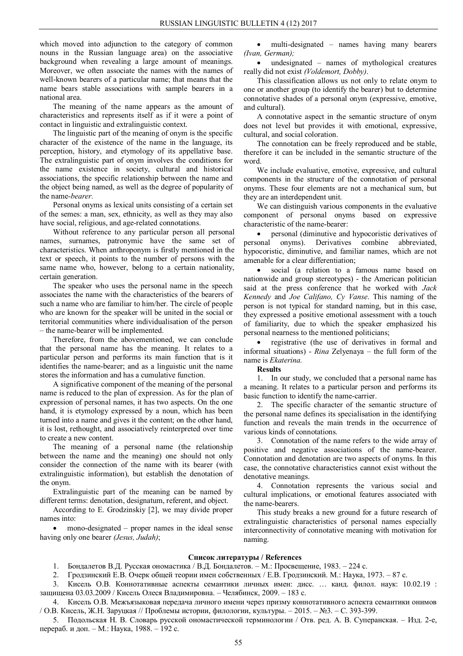which moved into adjunction to the category of common nouns in the Russian language area) on the associative background when revealing a large amount of meanings. Moreover, we often associate the names with the names of well-known bearers of a particular name; that means that the name bears stable associations with sample bearers in a national area.

The meaning of the name appears as the amount of characteristics and represents itself as if it were a point of contact in linguistic and extralinguistic context.

The linguistic part of the meaning of onym is the specific character of the existence of the name in the language, its perception, history, and etymology of its appellative base. The extralinguistic part of onym involves the conditions for the name existence in society, cultural and historical associations, the specific relationship between the name and the object being named, as well as the degree of popularity of the name-*bearer.*

Personal onyms as lexical units consisting of a certain set of the semes: a man, sex, ethnicity, as well as they may also have social, religious, and age-related connotations.

Without reference to any particular person all personal names, surnames, patronymic have the same set of characteristics. When anthroponym is firstly mentioned in the text or speech, it points to the number of persons with the same name who, however, belong to a certain nationality, certain generation.

The speaker who uses the personal name in the speech associates the name with the characteristics of the bearers of such a name who are familiar to him/her. The circle of people who are known for the speaker will be united in the social or territorial communities where individualisation of the person – the name-bearer will be implemented.

Therefore, from the abovementioned, we can conclude that the personal name has the meaning. It relates to a particular person and performs its main function that is it identifies the name-bearer; and as a linguistic unit the name stores the information and has a cumulative function.

A significative component of the meaning of the personal name is reduced to the plan of expression. As for the plan of expression of personal names, it has two aspects. On the one hand, it is etymology expressed by a noun, which has been turned into a name and gives it the content; on the other hand, it is lost, rethought, and associatively reinterpreted over time to create a new content.

The meaning of a personal name (the relationship between the name and the meaning) one should not only consider the connection of the name with its bearer (with extralinguistic information), but establish the denotation of the onym.

Extralinguistic part of the meaning can be named by different terms: denotation, designatum, referent, and object.

According to E. Grodzinskiy [2], we may divide proper names into:

 mono-designated – proper names in the ideal sense having only one bearer *(Jesus, Judah)*;

• multi-designated – names having many bearers *(Ivan, German);*

 undesignated – names of mythological creatures really did not exist *(Voldemort, Dobby)*.

This classification allows us not only to relate onym to one or another group (to identify the bearer) but to determine connotative shades of a personal onym (expressive, emotive, and cultural).

A connotative aspect in the semantic structure of onym does not level but provides it with emotional, expressive, cultural, and social coloration.

The connotation can be freely reproduced and be stable, therefore it can be included in the semantic structure of the word.

We include evaluative, emotive, expressive, and cultural components in the structure of the connotation of personal onyms. These four elements are not a mechanical sum, but they are an interdependent unit.

We can distinguish various components in the evaluative component of personal onyms based on expressive characteristic of the name-bearer:

 personal (diminutive and hypocoristic derivatives of personal onyms). Derivatives combine abbreviated, hypocoristic, diminutive, and familiar names, which are not amenable for a clear differentiation;

 social (a relation to a famous name based on nationwide and group stereotypes) - the American politician said at the press conference that he worked with *Jack Kennedy* and *Joe Califano, Cy Vanse*. This naming of the person is not typical for standard naming, but in this case, they expressed a positive emotional assessment with a touch of familiarity, due to which the speaker emphasized his personal nearness to the mentioned politicians;

 registrative (the use of derivatives in formal and informal situations) - *Rina* Zelyenaya – the full form of the name is *Ekaterina.*

**Results**

1. In our study, we concluded that a personal name has a meaning. It relates to a particular person and performs its basic function to identify the name-carrier.

2. The specific character of the semantic structure of the personal name defines its specialisation in the identifying function and reveals the main trends in the occurrence of various kinds of connotations.

3. Connotation of the name refers to the wide array of positive and negative associations of the name-bearer. Connotation and denotation are two aspects of onyms. In this case, the connotative characteristics cannot exist without the denotative meanings.

4. Connotation represents the various social and cultural implications, or emotional features associated with the name-bearers.

This study breaks a new ground for a future research of extralinguistic characteristics of personal names especially interconnectivity of connotative meaning with motivation for naming.

### **Список литературы / References**

1. Бондалетов В.Д. Русская ономастика / В.Д. Бондалетов. – М.: Просвещение, 1983. – 224 с.

2. Гродзинский Е.В. Очерк общей теории имен собственных / Е.В. Гродзинский. М.: Наука, 1973. – 87 с.

3. Кисель О.В. Коннотативные аспекты семантики личных имен: дисс. … канд. филол. наук: 10.02.19 : защищена 03.03.2009 / Кисель Олеся Владимировна. – Челябинск, 2009. – 183 с.

4. Кисель О.В. Межъязыковая передача личного имени через призму коннотативного аспекта семантики онимов / О.В. Кисель, Ж.Н. Заруцкая // Проблемы истории, филологии, культуры. – 2015. – №3. – С. 393-399.

5. Подольская Н. В. Словарь русской ономастической терминологии / Отв. ред. А. В. Суперанская. – Изд. 2-е, перераб. и доп. – М.: Наука, 1988. – 192 с.